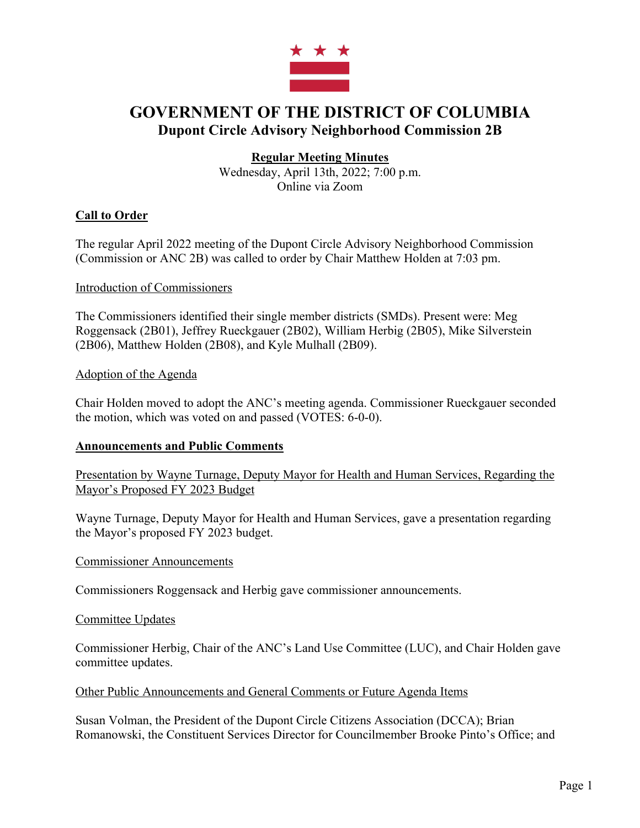

# **GOVERNMENT OF THE DISTRICT OF COLUMBIA Dupont Circle Advisory Neighborhood Commission 2B**

# **Regular Meeting Minutes**

Wednesday, April 13th, 2022; 7:00 p.m. Online via Zoom

# **Call to Order**

The regular April 2022 meeting of the Dupont Circle Advisory Neighborhood Commission (Commission or ANC 2B) was called to order by Chair Matthew Holden at 7:03 pm.

## Introduction of Commissioners

The Commissioners identified their single member districts (SMDs). Present were: Meg Roggensack (2B01), Jeffrey Rueckgauer (2B02), William Herbig (2B05), Mike Silverstein (2B06), Matthew Holden (2B08), and Kyle Mulhall (2B09).

## Adoption of the Agenda

Chair Holden moved to adopt the ANC's meeting agenda. Commissioner Rueckgauer seconded the motion, which was voted on and passed (VOTES: 6-0-0).

# **Announcements and Public Comments**

Presentation by Wayne Turnage, Deputy Mayor for Health and Human Services, Regarding the Mayor's Proposed FY 2023 Budget

Wayne Turnage, Deputy Mayor for Health and Human Services, gave a presentation regarding the Mayor's proposed FY 2023 budget.

#### Commissioner Announcements

Commissioners Roggensack and Herbig gave commissioner announcements.

#### Committee Updates

Commissioner Herbig, Chair of the ANC's Land Use Committee (LUC), and Chair Holden gave committee updates.

Other Public Announcements and General Comments or Future Agenda Items

Susan Volman, the President of the Dupont Circle Citizens Association (DCCA); Brian Romanowski, the Constituent Services Director for Councilmember Brooke Pinto's Office; and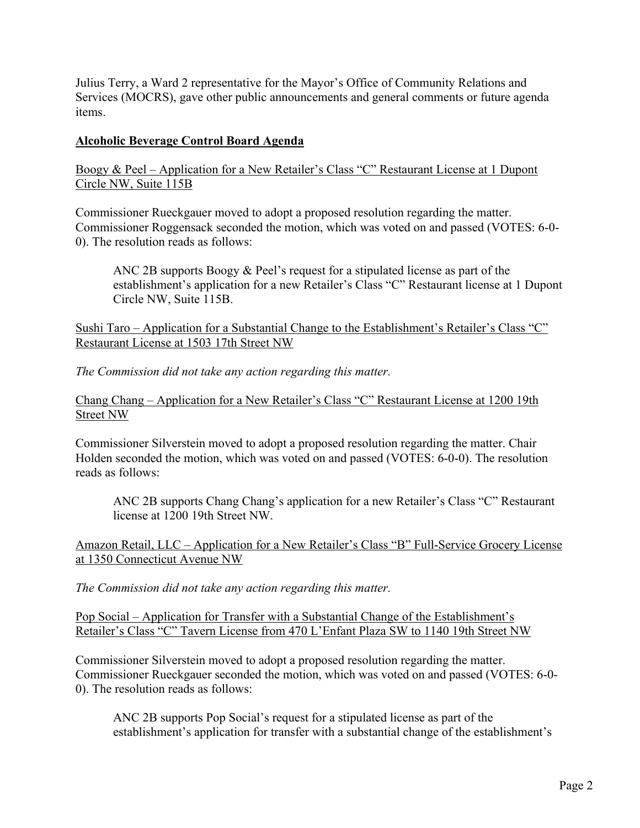Julius Terry, a Ward 2 representative for the Mayor's Office of Community Relations and Services (MOCRS), gave other public announcements and general comments or future agenda items.

## **Alcoholic Beverage Control Board Agenda**

Boogy & Peel – Application for a New Retailer's Class "C" Restaurant License at 1 Dupont Circle NW, Suite 115B

Commissioner Rueckgauer moved to adopt a proposed resolution regarding the matter. Commissioner Roggensack seconded the motion, which was voted on and passed (VOTES: 6-0- 0). The resolution reads as follows:

ANC 2B supports Boogy & Peel's request for a stipulated license as part of the establishment's application for a new Retailer's Class "C" Restaurant license at 1 Dupont Circle NW, Suite 115B.

Sushi Taro – Application for a Substantial Change to the Establishment's Retailer's Class "C" Restaurant License at 1503 17th Street NW

*The Commission did not take any action regarding this matter.*

Chang Chang – Application for a New Retailer's Class "C" Restaurant License at 1200 19th Street NW

Commissioner Silverstein moved to adopt a proposed resolution regarding the matter. Chair Holden seconded the motion, which was voted on and passed (VOTES: 6-0-0). The resolution reads as follows:

ANC 2B supports Chang Chang's application for a new Retailer's Class "C" Restaurant license at 1200 19th Street NW.

Amazon Retail, LLC – Application for a New Retailer's Class "B" Full-Service Grocery License at 1350 Connecticut Avenue NW

*The Commission did not take any action regarding this matter.*

Pop Social – Application for Transfer with a Substantial Change of the Establishment's Retailer's Class "C" Tavern License from 470 L'Enfant Plaza SW to 1140 19th Street NW

Commissioner Silverstein moved to adopt a proposed resolution regarding the matter. Commissioner Rueckgauer seconded the motion, which was voted on and passed (VOTES: 6-0- 0). The resolution reads as follows:

ANC 2B supports Pop Social's request for a stipulated license as part of the establishment's application for transfer with a substantial change of the establishment's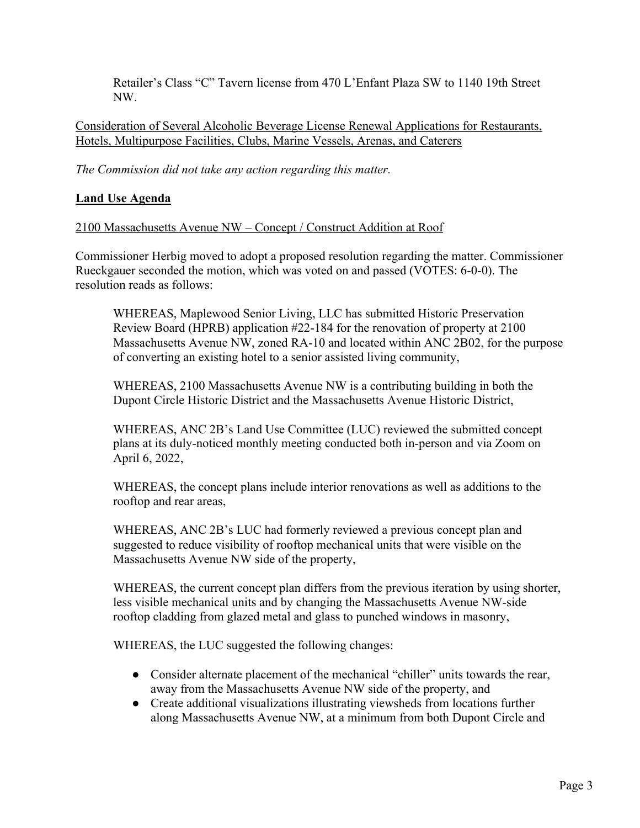Retailer's Class "C" Tavern license from 470 L'Enfant Plaza SW to 1140 19th Street NW.

Consideration of Several Alcoholic Beverage License Renewal Applications for Restaurants, Hotels, Multipurpose Facilities, Clubs, Marine Vessels, Arenas, and Caterers

*The Commission did not take any action regarding this matter.*

# **Land Use Agenda**

2100 Massachusetts Avenue NW – Concept / Construct Addition at Roof

Commissioner Herbig moved to adopt a proposed resolution regarding the matter. Commissioner Rueckgauer seconded the motion, which was voted on and passed (VOTES: 6-0-0). The resolution reads as follows:

WHEREAS, Maplewood Senior Living, LLC has submitted Historic Preservation Review Board (HPRB) application #22-184 for the renovation of property at 2100 Massachusetts Avenue NW, zoned RA-10 and located within ANC 2B02, for the purpose of converting an existing hotel to a senior assisted living community,

WHEREAS, 2100 Massachusetts Avenue NW is a contributing building in both the Dupont Circle Historic District and the Massachusetts Avenue Historic District,

WHEREAS, ANC 2B's Land Use Committee (LUC) reviewed the submitted concept plans at its duly-noticed monthly meeting conducted both in-person and via Zoom on April 6, 2022,

WHEREAS, the concept plans include interior renovations as well as additions to the rooftop and rear areas,

WHEREAS, ANC 2B's LUC had formerly reviewed a previous concept plan and suggested to reduce visibility of rooftop mechanical units that were visible on the Massachusetts Avenue NW side of the property,

WHEREAS, the current concept plan differs from the previous iteration by using shorter, less visible mechanical units and by changing the Massachusetts Avenue NW-side rooftop cladding from glazed metal and glass to punched windows in masonry,

WHEREAS, the LUC suggested the following changes:

- Consider alternate placement of the mechanical "chiller" units towards the rear, away from the Massachusetts Avenue NW side of the property, and
- Create additional visualizations illustrating viewsheds from locations further along Massachusetts Avenue NW, at a minimum from both Dupont Circle and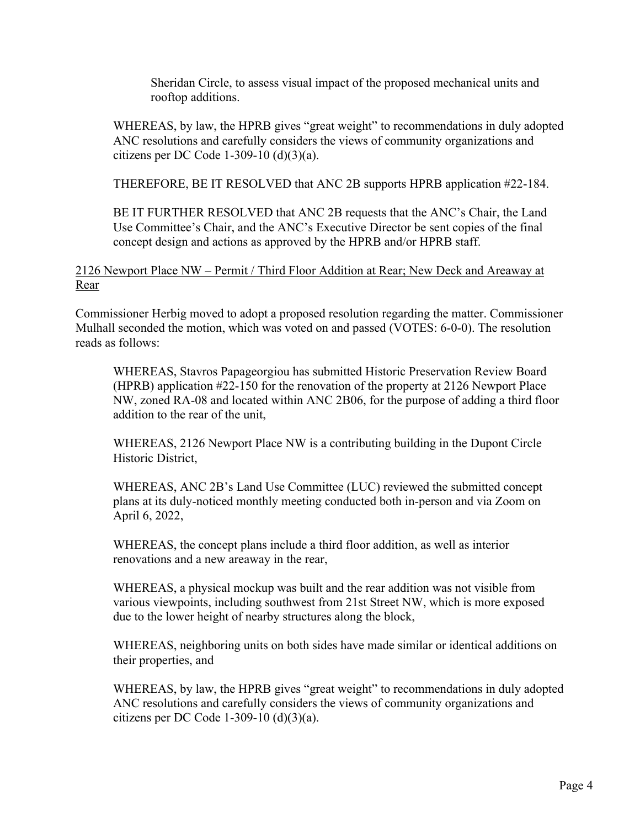Sheridan Circle, to assess visual impact of the proposed mechanical units and rooftop additions.

WHEREAS, by law, the HPRB gives "great weight" to recommendations in duly adopted ANC resolutions and carefully considers the views of community organizations and citizens per DC Code 1-309-10 $(d)(3)(a)$ .

THEREFORE, BE IT RESOLVED that ANC 2B supports HPRB application #22-184.

BE IT FURTHER RESOLVED that ANC 2B requests that the ANC's Chair, the Land Use Committee's Chair, and the ANC's Executive Director be sent copies of the final concept design and actions as approved by the HPRB and/or HPRB staff.

# 2126 Newport Place NW – Permit / Third Floor Addition at Rear; New Deck and Areaway at Rear

Commissioner Herbig moved to adopt a proposed resolution regarding the matter. Commissioner Mulhall seconded the motion, which was voted on and passed (VOTES: 6-0-0). The resolution reads as follows:

WHEREAS, Stavros Papageorgiou has submitted Historic Preservation Review Board (HPRB) application #22-150 for the renovation of the property at 2126 Newport Place NW, zoned RA-08 and located within ANC 2B06, for the purpose of adding a third floor addition to the rear of the unit,

WHEREAS, 2126 Newport Place NW is a contributing building in the Dupont Circle Historic District,

WHEREAS, ANC 2B's Land Use Committee (LUC) reviewed the submitted concept plans at its duly-noticed monthly meeting conducted both in-person and via Zoom on April 6, 2022,

WHEREAS, the concept plans include a third floor addition, as well as interior renovations and a new areaway in the rear,

WHEREAS, a physical mockup was built and the rear addition was not visible from various viewpoints, including southwest from 21st Street NW, which is more exposed due to the lower height of nearby structures along the block,

WHEREAS, neighboring units on both sides have made similar or identical additions on their properties, and

WHEREAS, by law, the HPRB gives "great weight" to recommendations in duly adopted ANC resolutions and carefully considers the views of community organizations and citizens per DC Code 1-309-10  $(d)(3)(a)$ .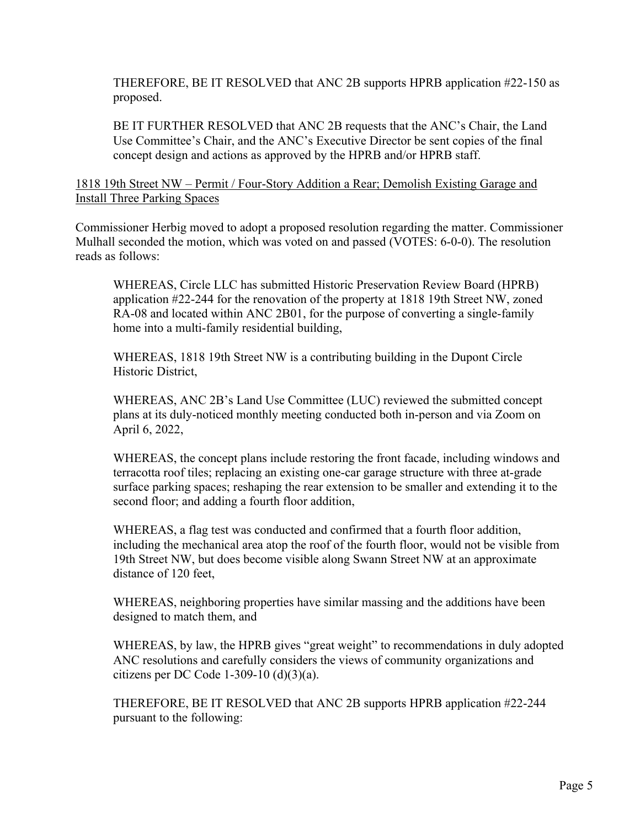THEREFORE, BE IT RESOLVED that ANC 2B supports HPRB application #22-150 as proposed.

BE IT FURTHER RESOLVED that ANC 2B requests that the ANC's Chair, the Land Use Committee's Chair, and the ANC's Executive Director be sent copies of the final concept design and actions as approved by the HPRB and/or HPRB staff.

1818 19th Street NW – Permit / Four-Story Addition a Rear; Demolish Existing Garage and Install Three Parking Spaces

Commissioner Herbig moved to adopt a proposed resolution regarding the matter. Commissioner Mulhall seconded the motion, which was voted on and passed (VOTES: 6-0-0). The resolution reads as follows:

WHEREAS, Circle LLC has submitted Historic Preservation Review Board (HPRB) application #22-244 for the renovation of the property at 1818 19th Street NW, zoned RA-08 and located within ANC 2B01, for the purpose of converting a single-family home into a multi-family residential building,

WHEREAS, 1818 19th Street NW is a contributing building in the Dupont Circle Historic District,

WHEREAS, ANC 2B's Land Use Committee (LUC) reviewed the submitted concept plans at its duly-noticed monthly meeting conducted both in-person and via Zoom on April 6, 2022,

WHEREAS, the concept plans include restoring the front facade, including windows and terracotta roof tiles; replacing an existing one-car garage structure with three at-grade surface parking spaces; reshaping the rear extension to be smaller and extending it to the second floor; and adding a fourth floor addition,

WHEREAS, a flag test was conducted and confirmed that a fourth floor addition, including the mechanical area atop the roof of the fourth floor, would not be visible from 19th Street NW, but does become visible along Swann Street NW at an approximate distance of 120 feet,

WHEREAS, neighboring properties have similar massing and the additions have been designed to match them, and

WHEREAS, by law, the HPRB gives "great weight" to recommendations in duly adopted ANC resolutions and carefully considers the views of community organizations and citizens per DC Code 1-309-10  $(d)(3)(a)$ .

THEREFORE, BE IT RESOLVED that ANC 2B supports HPRB application #22-244 pursuant to the following: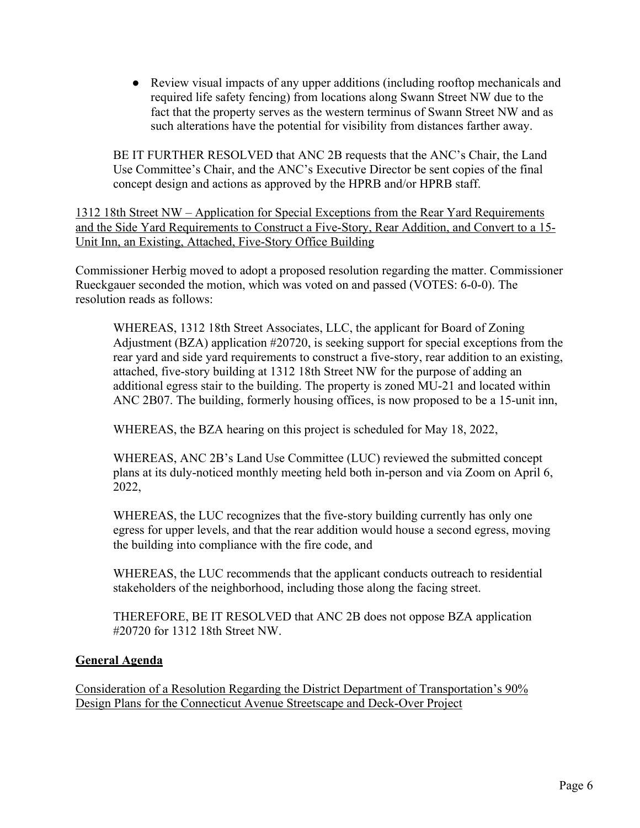● Review visual impacts of any upper additions (including rooftop mechanicals and required life safety fencing) from locations along Swann Street NW due to the fact that the property serves as the western terminus of Swann Street NW and as such alterations have the potential for visibility from distances farther away.

BE IT FURTHER RESOLVED that ANC 2B requests that the ANC's Chair, the Land Use Committee's Chair, and the ANC's Executive Director be sent copies of the final concept design and actions as approved by the HPRB and/or HPRB staff.

1312 18th Street NW – Application for Special Exceptions from the Rear Yard Requirements and the Side Yard Requirements to Construct a Five-Story, Rear Addition, and Convert to a 15- Unit Inn, an Existing, Attached, Five-Story Office Building

Commissioner Herbig moved to adopt a proposed resolution regarding the matter. Commissioner Rueckgauer seconded the motion, which was voted on and passed (VOTES: 6-0-0). The resolution reads as follows:

WHEREAS, 1312 18th Street Associates, LLC, the applicant for Board of Zoning Adjustment (BZA) application #20720, is seeking support for special exceptions from the rear yard and side yard requirements to construct a five-story, rear addition to an existing, attached, five-story building at 1312 18th Street NW for the purpose of adding an additional egress stair to the building. The property is zoned MU-21 and located within ANC 2B07. The building, formerly housing offices, is now proposed to be a 15-unit inn,

WHEREAS, the BZA hearing on this project is scheduled for May 18, 2022,

WHEREAS, ANC 2B's Land Use Committee (LUC) reviewed the submitted concept plans at its duly-noticed monthly meeting held both in-person and via Zoom on April 6, 2022,

WHEREAS, the LUC recognizes that the five-story building currently has only one egress for upper levels, and that the rear addition would house a second egress, moving the building into compliance with the fire code, and

WHEREAS, the LUC recommends that the applicant conducts outreach to residential stakeholders of the neighborhood, including those along the facing street.

THEREFORE, BE IT RESOLVED that ANC 2B does not oppose BZA application #20720 for 1312 18th Street NW.

# **General Agenda**

Consideration of a Resolution Regarding the District Department of Transportation's 90% Design Plans for the Connecticut Avenue Streetscape and Deck-Over Project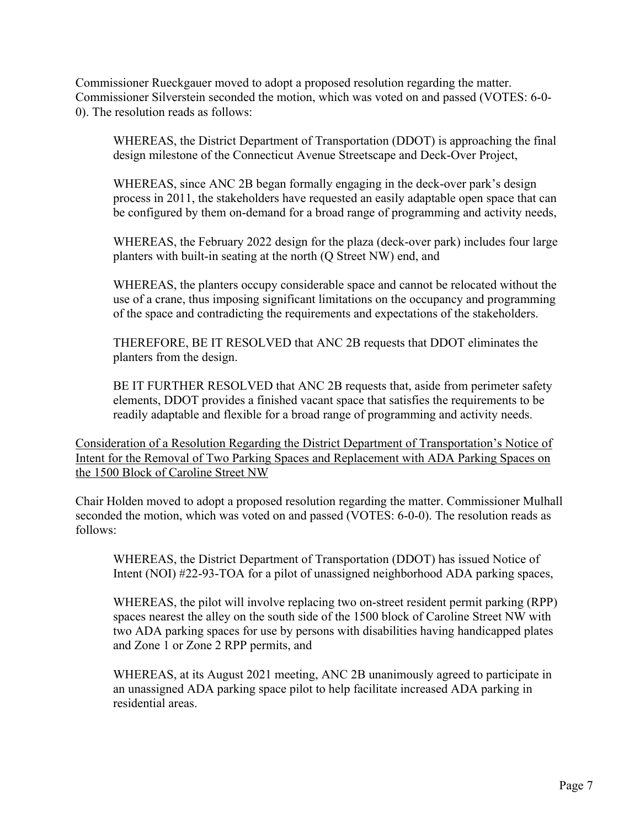Commissioner Rueckgauer moved to adopt a proposed resolution regarding the matter. Commissioner Silverstein seconded the motion, which was voted on and passed (VOTES: 6-0- 0). The resolution reads as follows:

WHEREAS, the District Department of Transportation (DDOT) is approaching the final design milestone of the Connecticut Avenue Streetscape and Deck-Over Project,

WHEREAS, since ANC 2B began formally engaging in the deck-over park's design process in 2011, the stakeholders have requested an easily adaptable open space that can be configured by them on-demand for a broad range of programming and activity needs,

WHEREAS, the February 2022 design for the plaza (deck-over park) includes four large planters with built-in seating at the north (Q Street NW) end, and

WHEREAS, the planters occupy considerable space and cannot be relocated without the use of a crane, thus imposing significant limitations on the occupancy and programming of the space and contradicting the requirements and expectations of the stakeholders.

THEREFORE, BE IT RESOLVED that ANC 2B requests that DDOT eliminates the planters from the design.

BE IT FURTHER RESOLVED that ANC 2B requests that, aside from perimeter safety elements, DDOT provides a finished vacant space that satisfies the requirements to be readily adaptable and flexible for a broad range of programming and activity needs.

Consideration of a Resolution Regarding the District Department of Transportation's Notice of Intent for the Removal of Two Parking Spaces and Replacement with ADA Parking Spaces on the 1500 Block of Caroline Street NW

Chair Holden moved to adopt a proposed resolution regarding the matter. Commissioner Mulhall seconded the motion, which was voted on and passed (VOTES: 6-0-0). The resolution reads as follows:

WHEREAS, the District Department of Transportation (DDOT) has issued Notice of Intent (NOI) #22-93-TOA for a pilot of unassigned neighborhood ADA parking spaces,

WHEREAS, the pilot will involve replacing two on-street resident permit parking (RPP) spaces nearest the alley on the south side of the 1500 block of Caroline Street NW with two ADA parking spaces for use by persons with disabilities having handicapped plates and Zone 1 or Zone 2 RPP permits, and

WHEREAS, at its August 2021 meeting, ANC 2B unanimously agreed to participate in an unassigned ADA parking space pilot to help facilitate increased ADA parking in residential areas.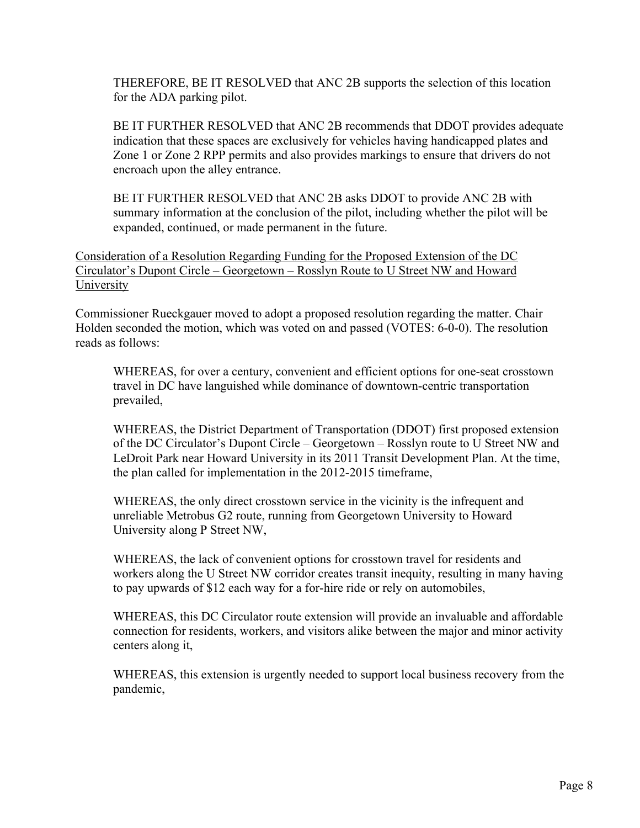THEREFORE, BE IT RESOLVED that ANC 2B supports the selection of this location for the ADA parking pilot.

BE IT FURTHER RESOLVED that ANC 2B recommends that DDOT provides adequate indication that these spaces are exclusively for vehicles having handicapped plates and Zone 1 or Zone 2 RPP permits and also provides markings to ensure that drivers do not encroach upon the alley entrance.

BE IT FURTHER RESOLVED that ANC 2B asks DDOT to provide ANC 2B with summary information at the conclusion of the pilot, including whether the pilot will be expanded, continued, or made permanent in the future.

Consideration of a Resolution Regarding Funding for the Proposed Extension of the DC Circulator's Dupont Circle – Georgetown – Rosslyn Route to U Street NW and Howard **University** 

Commissioner Rueckgauer moved to adopt a proposed resolution regarding the matter. Chair Holden seconded the motion, which was voted on and passed (VOTES: 6-0-0). The resolution reads as follows:

WHEREAS, for over a century, convenient and efficient options for one-seat crosstown travel in DC have languished while dominance of downtown-centric transportation prevailed,

WHEREAS, the District Department of Transportation (DDOT) first proposed extension of the DC Circulator's Dupont Circle – Georgetown – Rosslyn route to U Street NW and LeDroit Park near Howard University in its 2011 Transit Development Plan. At the time, the plan called for implementation in the 2012-2015 timeframe,

WHEREAS, the only direct crosstown service in the vicinity is the infrequent and unreliable Metrobus G2 route, running from Georgetown University to Howard University along P Street NW,

WHEREAS, the lack of convenient options for crosstown travel for residents and workers along the U Street NW corridor creates transit inequity, resulting in many having to pay upwards of \$12 each way for a for-hire ride or rely on automobiles,

WHEREAS, this DC Circulator route extension will provide an invaluable and affordable connection for residents, workers, and visitors alike between the major and minor activity centers along it,

WHEREAS, this extension is urgently needed to support local business recovery from the pandemic,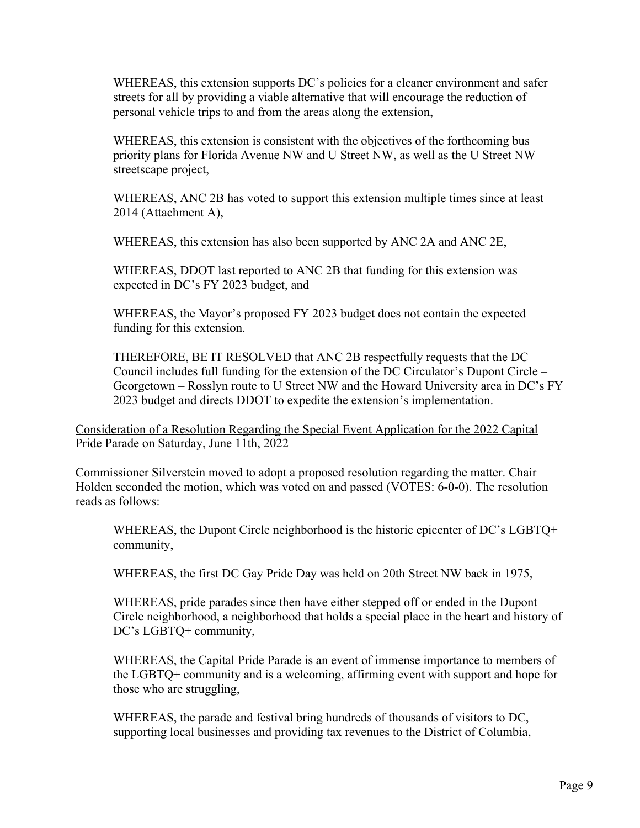WHEREAS, this extension supports DC's policies for a cleaner environment and safer streets for all by providing a viable alternative that will encourage the reduction of personal vehicle trips to and from the areas along the extension,

WHEREAS, this extension is consistent with the objectives of the forthcoming bus priority plans for Florida Avenue NW and U Street NW, as well as the U Street NW streetscape project,

WHEREAS, ANC 2B has voted to support this extension multiple times since at least 2014 (Attachment A),

WHEREAS, this extension has also been supported by ANC 2A and ANC 2E,

WHEREAS, DDOT last reported to ANC 2B that funding for this extension was expected in DC's FY 2023 budget, and

WHEREAS, the Mayor's proposed FY 2023 budget does not contain the expected funding for this extension.

THEREFORE, BE IT RESOLVED that ANC 2B respectfully requests that the DC Council includes full funding for the extension of the DC Circulator's Dupont Circle – Georgetown – Rosslyn route to U Street NW and the Howard University area in DC's FY 2023 budget and directs DDOT to expedite the extension's implementation.

Consideration of a Resolution Regarding the Special Event Application for the 2022 Capital Pride Parade on Saturday, June 11th, 2022

Commissioner Silverstein moved to adopt a proposed resolution regarding the matter. Chair Holden seconded the motion, which was voted on and passed (VOTES: 6-0-0). The resolution reads as follows:

WHEREAS, the Dupont Circle neighborhood is the historic epicenter of DC's LGBTQ+ community,

WHEREAS, the first DC Gay Pride Day was held on 20th Street NW back in 1975,

WHEREAS, pride parades since then have either stepped off or ended in the Dupont Circle neighborhood, a neighborhood that holds a special place in the heart and history of DC's LGBTQ+ community,

WHEREAS, the Capital Pride Parade is an event of immense importance to members of the LGBTQ+ community and is a welcoming, affirming event with support and hope for those who are struggling,

WHEREAS, the parade and festival bring hundreds of thousands of visitors to DC, supporting local businesses and providing tax revenues to the District of Columbia,